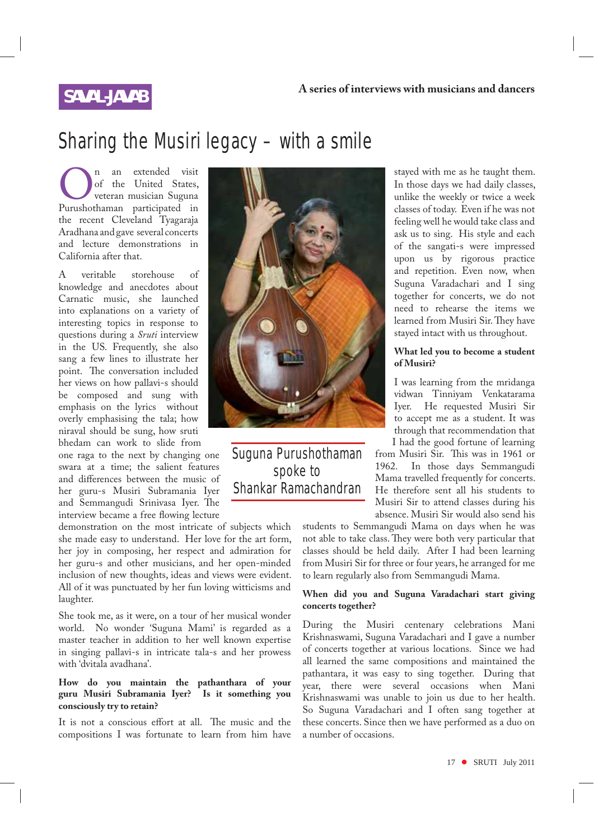## **SAVAL-JAVAB**

# Sharing the Musiri legacy – with a smile

**On** an extended visit of the United States, veteran musician Suguna Purushothaman participated in of the United States, veteran musician Suguna the recent Cleveland Tyagaraja Aradhana and gave several concerts and lecture demonstrations in California after that.

A veritable storehouse of knowledge and anecdotes about Carnatic music, she launched into explanations on a variety of interesting topics in response to questions during a *Sruti* interview in the US. Frequently, she also sang a few lines to illustrate her point. The conversation included her views on how pallavi-s should be composed and sung with emphasis on the lyrics without overly emphasising the tala; how niraval should be sung, how sruti bhedam can work to slide from

one raga to the next by changing one swara at a time; the salient features and differences between the music of her guru-s Musiri Subramania Iyer and Semmangudi Srinivasa Iyer. The interview became a free flowing lecture

demonstration on the most intricate of subjects which she made easy to understand. Her love for the art form, her joy in composing, her respect and admiration for her guru-s and other musicians, and her open-minded inclusion of new thoughts, ideas and views were evident. All of it was punctuated by her fun loving witticisms and laughter.

She took me, as it were, on a tour of her musical wonder world. No wonder 'Suguna Mami' is regarded as a master teacher in addition to her well known expertise in singing pallavi-s in intricate tala-s and her prowess with 'dvitala avadhana'.

#### **How do you maintain the pathanthara of your guru Musiri Subramania Iyer? Is it something you consciously try to retain?**

It is not a conscious effort at all. The music and the compositions I was fortunate to learn from him have



Suguna Purushothaman spoke to Shankar Ramachandran

stayed with me as he taught them. In those days we had daily classes, unlike the weekly or twice a week classes of today. Even if he was not feeling well he would take class and ask us to sing. His style and each of the sangati-s were impressed upon us by rigorous practice and repetition. Even now, when Suguna Varadachari and I sing together for concerts, we do not need to rehearse the items we learned from Musiri Sir. They have stayed intact with us throughout.

### **What led you to become a student of Musiri?**

I was learning from the mridanga vidwan Tinniyam Venkatarama Iyer. He requested Musiri Sir to accept me as a student. It was through that recommendation that I had the good fortune of learning

from Musiri Sir. This was in 1961 or 1962. In those days Semmangudi Mama travelled frequently for concerts. He therefore sent all his students to Musiri Sir to attend classes during his absence. Musiri Sir would also send his

students to Semmangudi Mama on days when he was not able to take class. They were both very particular that classes should be held daily. After I had been learning from Musiri Sir for three or four years, he arranged for me to learn regularly also from Semmangudi Mama.

#### **When did you and Suguna Varadachari start giving concerts together?**

During the Musiri centenary celebrations Mani Krishnaswami, Suguna Varadachari and I gave a number of concerts together at various locations. Since we had all learned the same compositions and maintained the pathantara, it was easy to sing together. During that year, there were several occasions when Mani Krishnaswami was unable to join us due to her health. So Suguna Varadachari and I often sang together at these concerts. Since then we have performed as a duo on a number of occasions.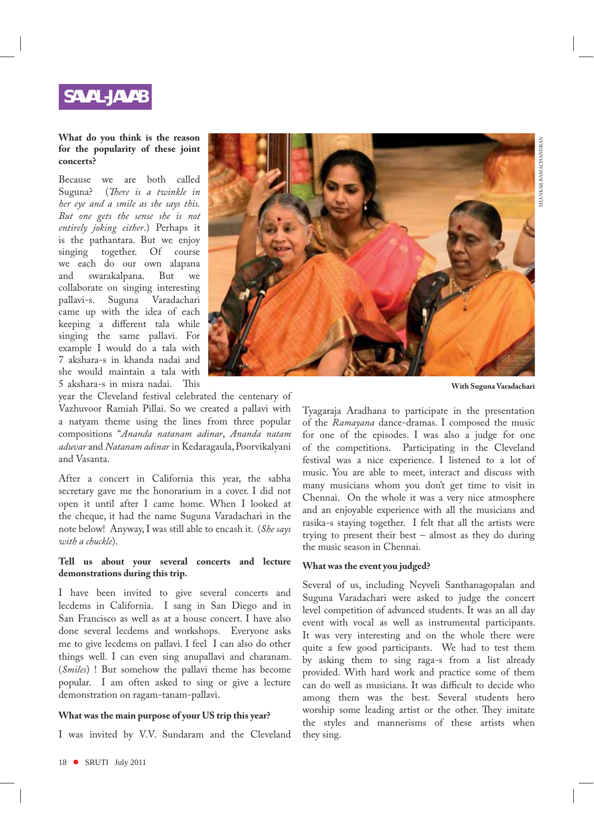## **SAVAL-JAVAB**

#### **What do you think is the reason for the popularity of these joint concerts?**

Because we are both called Suguna? (*There is a twinkle in her eye and a smile as she says this. But one gets the sense she is not entirely joking either*.) Perhaps it is the pathantara. But we enjoy singing together. Of course we each do our own alapana and swarakalpana. But we collaborate on singing interesting pallavi-s. Suguna Varadachari came up with the idea of each keeping a different tala while singing the same pallavi. For example I would do a tala with 7 akshara-s in khanda nadai and she would maintain a tala with 5 akshara-s in misra nadai. This



year the Cleveland festival celebrated the centenary of Vazhuvoor Ramiah Pillai. So we created a pallavi with a natyam theme using the lines from three popular compositions "*Ananda natanam adinar*, *Ananda natam aduvar* and *Natanam adinar* in Kedaragaula, Poorvikalyani and Vasanta.

After a concert in California this year, the sabha secretary gave me the honorarium in a cover. I did not open it until after I came home. When I looked at the cheque, it had the name Suguna Varadachari in the note below! Anyway, I was still able to encash it. (*She says with a chuckle*).

### **Tell us about your several concerts and lecture demonstrations during this trip.**

I have been invited to give several concerts and lecdems in California. I sang in San Diego and in San Francisco as well as at a house concert. I have also done several lecdems and workshops. Everyone asks me to give lecdems on pallavi. I feel I can also do other things well. I can even sing anupallavi and charanam. (*Smiles*) ! But somehow the pallavi theme has become popular. I am often asked to sing or give a lecture demonstration on ragam-tanam-pallavi.

#### **What was the main purpose of your US trip this year?**

I was invited by V.V. Sundaram and the Cleveland

**With Suguna Varadachari**

Tyagaraja Aradhana to participate in the presentation of the *Ramayana* dance-dramas. I composed the music for one of the episodes. I was also a judge for one of the competitions. Participating in the Cleveland festival was a nice experience. I listened to a lot of music. You are able to meet, interact and discuss with many musicians whom you don't get time to visit in Chennai. On the whole it was a very nice atmosphere and an enjoyable experience with all the musicians and rasika-s staying together. I felt that all the artists were trying to present their best – almost as they do during the music season in Chennai.

### **What was the event you judged?**

Several of us, including Neyveli Santhanagopalan and Suguna Varadachari were asked to judge the concert level competition of advanced students. It was an all day event with vocal as well as instrumental participants. It was very interesting and on the whole there were quite a few good participants. We had to test them by asking them to sing raga-s from a list already provided. With hard work and practice some of them can do well as musicians. It was difficult to decide who among them was the best. Several students hero worship some leading artist or the other. They imitate the styles and mannerisms of these artists when they sing.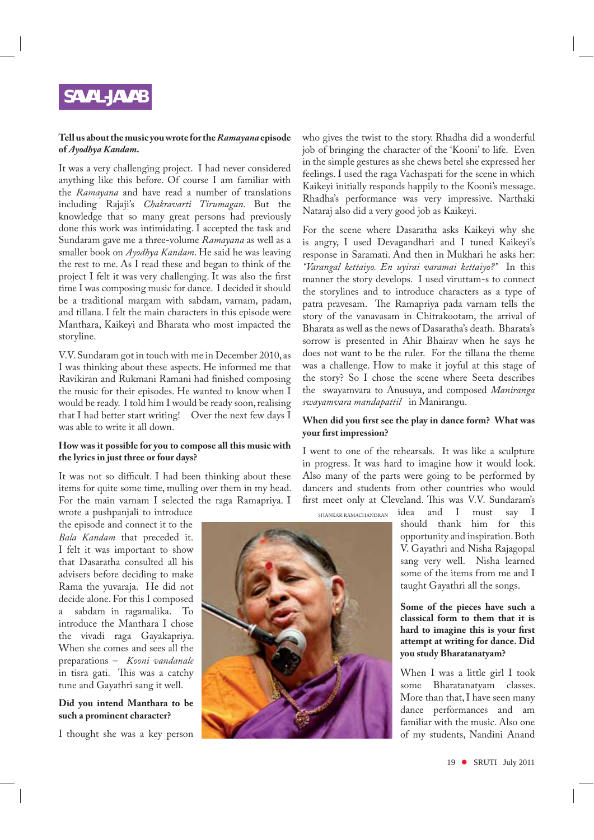# **SAVAL-JAVAB**

#### **Tell us about the music you wrote for the** *Ramayana* **episode of** *Ayodhya Kandam***.**

It was a very challenging project. I had never considered anything like this before. Of course I am familiar with the *Ramayana* and have read a number of translations including Rajaji's *Chakravarti Tirumagan*. But the knowledge that so many great persons had previously done this work was intimidating. I accepted the task and Sundaram gave me a three-volume *Ramayana* as well as a smaller book on *Ayodhya Kandam*. He said he was leaving the rest to me. As I read these and began to think of the project I felt it was very challenging. It was also the first time I was composing music for dance. I decided it should be a traditional margam with sabdam, varnam, padam, and tillana. I felt the main characters in this episode were Manthara, Kaikeyi and Bharata who most impacted the storyline.

V.V. Sundaram got in touch with me in December 2010, as I was thinking about these aspects. He informed me that Ravikiran and Rukmani Ramani had finished composing the music for their episodes. He wanted to know when I would be ready. I told him I would be ready soon, realising that I had better start writing! Over the next few days I was able to write it all down.

#### **How was it possible for you to compose all this music with the lyrics in just three or four days?**

It was not so difficult. I had been thinking about these items for quite some time, mulling over them in my head. For the main varnam I selected the raga Ramapriya. I

wrote a pushpanjali to introduce the episode and connect it to the *Bala Kandam* that preceded it. I felt it was important to show that Dasaratha consulted all his advisers before deciding to make Rama the yuvaraja. He did not decide alone. For this I composed a sabdam in ragamalika. To introduce the Manthara I chose the vivadi raga Gayakapriya. When she comes and sees all the preparations – *Kooni vandanale* in tisra gati. This was a catchy tune and Gayathri sang it well.

### **Did you intend Manthara to be such a prominent character?**

I thought she was a key person

who gives the twist to the story. Rhadha did a wonderful job of bringing the character of the 'Kooni' to life. Even in the simple gestures as she chews betel she expressed her feelings. I used the raga Vachaspati for the scene in which Kaikeyi initially responds happily to the Kooni's message. Rhadha's performance was very impressive. Narthaki Nataraj also did a very good job as Kaikeyi.

For the scene where Dasaratha asks Kaikeyi why she is angry, I used Devagandhari and I tuned Kaikeyi's response in Saramati. And then in Mukhari he asks her: *"Varangal kettaiyo. En uyirai varamai kettaiyo?"* In this manner the story develops. I used viruttam-s to connect the storylines and to introduce characters as a type of patra pravesam. The Ramapriya pada varnam tells the story of the vanavasam in Chitrakootam, the arrival of Bharata as well as the news of Dasaratha's death. Bharata's sorrow is presented in Ahir Bhairav when he says he does not want to be the ruler. For the tillana the theme was a challenge. How to make it joyful at this stage of the story? So I chose the scene where Seeta describes the swayamvara to Anusuya, and composed *Maniranga swayamvara mandapattil* in Manirangu.

#### **When did you first see the play in dance form? What was your first impression?**

I went to one of the rehearsals. It was like a sculpture in progress. It was hard to imagine how it would look. Also many of the parts were going to be performed by dancers and students from other countries who would first meet only at Cleveland. This was V.V. Sundaram's

SHANKAR RAMACHANDRAN

and I must say I should thank him for this opportunity and inspiration. Both V. Gayathri and Nisha Rajagopal sang very well. Nisha learned some of the items from me and I taught Gayathri all the songs.

**Some of the pieces have such a classical form to them that it is hard to imagine this is your first attempt at writing for dance. Did you study Bharatanatyam?**

When I was a little girl I took some Bharatanatyam classes. More than that, I have seen many dance performances and am familiar with the music. Also one of my students, Nandini Anand